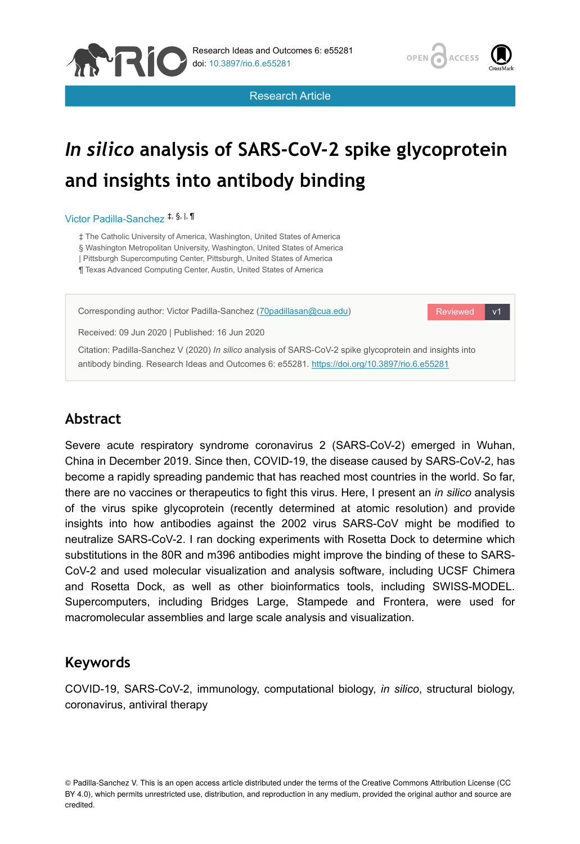



Research Article

# *In silico* **analysis of SARS-CoV-2 spike glycoprotein and insights into antibody binding**

#### Victor Padilla-Sanchez<sup>‡, §, |,</sup> ¶

‡ The Catholic University of America, Washington, United States of America

§ Washington Metropolitan University, Washington, United States of America

| Pittsburgh Supercomputing Center, Pittsburgh, United States of America

¶ Texas Advanced Computing Center, Austin, United States of America



# **Abstract**

Severe acute respiratory syndrome coronavirus 2 (SARS-CoV-2) emerged in Wuhan, China in December 2019. Since then, COVID-19, the disease caused by SARS-CoV-2, has become a rapidly spreading pandemic that has reached most countries in the world. So far, there are no vaccines or therapeutics to fight this virus. Here, I present an *in silico* analysis of the virus spike glycoprotein (recently determined at atomic resolution) and provide insights into how antibodies against the 2002 virus SARS-CoV might be modified to neutralize SARS-CoV-2. I ran docking experiments with Rosetta Dock to determine which substitutions in the 80R and m396 antibodies might improve the binding of these to SARS-CoV-2 and used molecular visualization and analysis software, including UCSF Chimera and Rosetta Dock, as well as other bioinformatics tools, including SWISS-MODEL. Supercomputers, including Bridges Large, Stampede and Frontera, were used for macromolecular assemblies and large scale analysis and visualization.

# **Keywords**

COVID-19, SARS-CoV-2, immunology, computational biology, *in silico*, structural biology, coronavirus, antiviral therapy

<sup>©</sup> Padilla-Sanchez V. This is an open access article distributed under the terms of the Creative Commons Attribution License (CC BY 4.0), which permits unrestricted use, distribution, and reproduction in any medium, provided the original author and source are credited.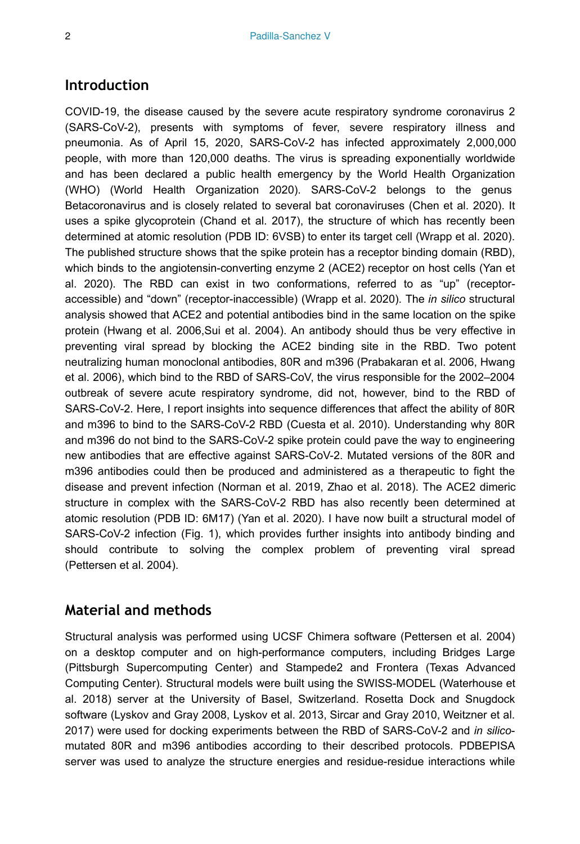## **Introduction**

COVID-19, the disease caused by the severe acute respiratory syndrome coronavirus 2 (SARS-CoV-2), presents with symptoms of fever, severe respiratory illness and pneumonia. As of April 15, 2020, SARS-CoV-2 has infected approximately 2,000,000 people, with more than 120,000 deaths. The virus is spreading exponentially worldwide and has been declared a public health emergency by the World Health Organization (WHO) (World Health Organization 2020). SARS-CoV-2 belongs to the genus Betacoronavirus and is closely related to several bat coronaviruses (Chen et al. 2020). It uses a spike glycoprotein (Chand et al. 2017), the structure of which has recently been determined at atomic resolution (PDB ID: 6VSB) to enter its target cell (Wrapp et al. 2020). The published structure shows that the spike protein has a receptor binding domain (RBD), which binds to the angiotensin-converting enzyme 2 (ACE2) receptor on host cells (Yan et al. 2020). The RBD can exist in two conformations, referred to as "up" (receptoraccessible) and "down" (receptor-inaccessible) (Wrapp et al. 2020). The *in silico* structural analysis showed that ACE2 and potential antibodies bind in the same location on the spike protein (Hwang et al. 2006,Sui et al. 2004). An antibody should thus be very effective in preventing viral spread by blocking the ACE2 binding site in the RBD. Two potent neutralizing human monoclonal antibodies, 80R and m396 (Prabakaran et al. 2006, Hwang et al. 2006), which bind to the RBD of SARS-CoV, the virus responsible for the 2002–2004 outbreak of severe acute respiratory syndrome, did not, however, bind to the RBD of SARS-CoV-2. Here, I report insights into sequence differences that affect the ability of 80R and m396 to bind to the SARS-CoV-2 RBD (Cuesta et al. 2010). Understanding why 80R and m396 do not bind to the SARS-CoV-2 spike protein could pave the way to engineering new antibodies that are effective against SARS-CoV-2. Mutated versions of the 80R and m396 antibodies could then be produced and administered as a therapeutic to fight the disease and prevent infection (Norman et al. 2019, Zhao et al. 2018). The ACE2 dimeric structure in complex with the SARS-CoV-2 RBD has also recently been determined at atomic resolution (PDB ID: 6M17) (Yan et al. 2020). I have now built a structural model of SARS-CoV-2 infection (Fig. 1), which provides further insights into antibody binding and should contribute to solving the complex problem of preventing viral spread (Pettersen et al. 2004).

## **Material and methods**

Structural analysis was performed using UCSF Chimera software (Pettersen et al. 2004) on a desktop computer and on high-performance computers, including Bridges Large (Pittsburgh Supercomputing Center) and Stampede2 and Frontera (Texas Advanced Computing Center). Structural models were built using the SWISS-MODEL (Waterhouse et al. 2018) server at the University of Basel, Switzerland. Rosetta Dock and Snugdock software (Lyskov and Gray 2008, Lyskov et al. 2013, Sircar and Gray 2010, Weitzner et al. 2017) were used for docking experiments between the RBD of SARS-CoV-2 and *in silico*mutated 80R and m396 antibodies according to their described protocols. PDBEPISA server was used to analyze the structure energies and residue-residue interactions while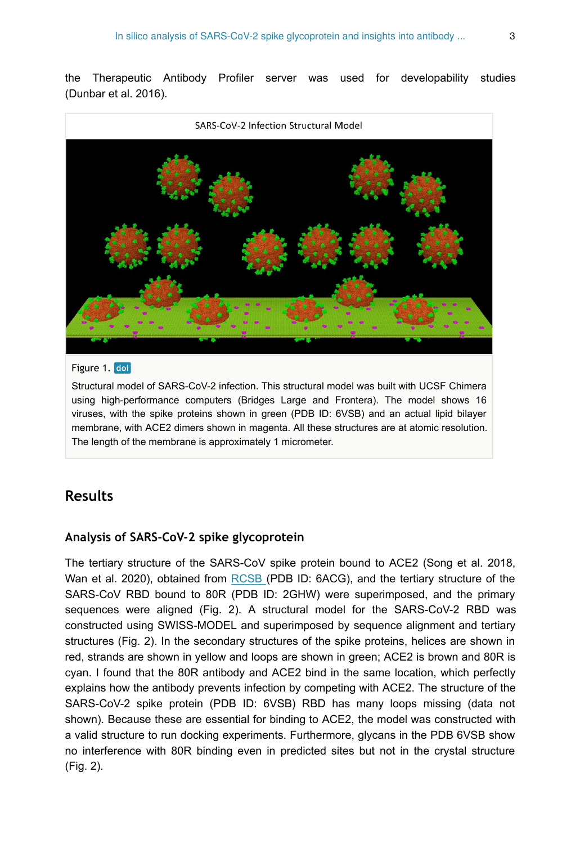the Therapeutic Antibody Profiler server was used for developability studies (Dunbar et al. 2016).



#### Figure 1. doi

Structural model of SARS-CoV-2 infection. This structural model was built with UCSF Chimera using high-performance computers (Bridges Large and Frontera). The model shows 16 viruses, with the spike proteins shown in green (PDB ID: 6VSB) and an actual lipid bilayer membrane, with ACE2 dimers shown in magenta. All these structures are at atomic resolution. The length of the membrane is approximately 1 micrometer.

## **Results**

#### **Analysis of SARS-CoV-2 spike glycoprotein**

The tertiary structure of the SARS-CoV spike protein bound to ACE2 (Song et al. 2018, Wan et al. 2020), obtained from [RCSB \(](https://www.rcsb.org/)PDB ID: 6ACG), and the tertiary structure of the SARS-CoV RBD bound to 80R (PDB ID: 2GHW) were superimposed, and the primary sequences were aligned (Fig. 2). A structural model for the SARS-CoV-2 RBD was constructed using SWISS-MODEL and superimposed by sequence alignment and tertiary structures (Fig. 2). In the secondary structures of the spike proteins, helices are shown in red, strands are shown in yellow and loops are shown in green; ACE2 is brown and 80R is cyan. I found that the 80R antibody and ACE2 bind in the same location, which perfectly explains how the antibody prevents infection by competing with ACE2. The structure of the SARS-CoV-2 spike protein (PDB ID: 6VSB) RBD has many loops missing (data not shown). Because these are essential for binding to ACE2, the model was constructed with a valid structure to run docking experiments. Furthermore, glycans in the PDB 6VSB show no interference with 80R binding even in predicted sites but not in the crystal structure (Fig. 2).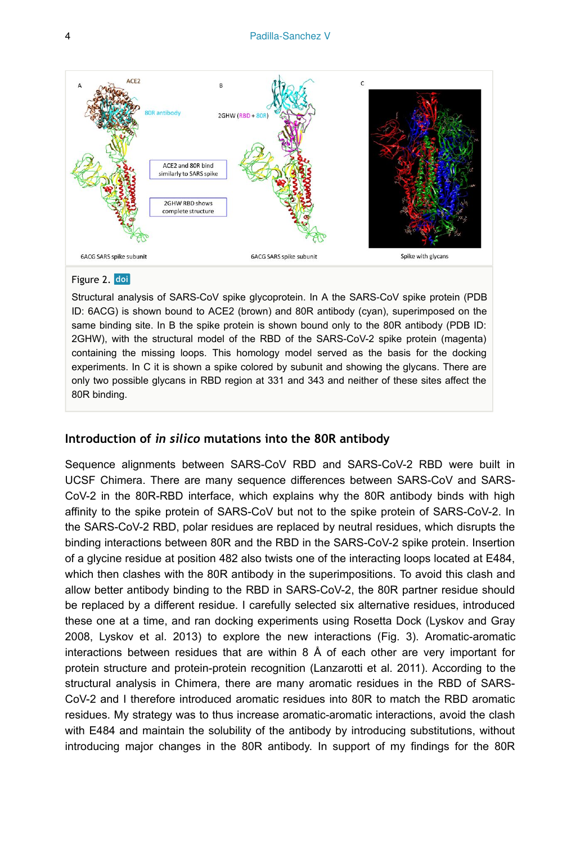

#### Figure 2. doi

Structural analysis of SARS-CoV spike glycoprotein. In A the SARS-CoV spike protein (PDB ID: 6ACG) is shown bound to ACE2 (brown) and 80R antibody (cyan), superimposed on the same binding site. In B the spike protein is shown bound only to the 80R antibody (PDB ID: 2GHW), with the structural model of the RBD of the SARS-CoV-2 spike protein (magenta) containing the missing loops. This homology model served as the basis for the docking experiments. In C it is shown a spike colored by subunit and showing the glycans. There are only two possible glycans in RBD region at 331 and 343 and neither of these sites affect the 80R binding.

### **Introduction of** *in silico* **mutations into the 80R antibody**

Sequence alignments between SARS-CoV RBD and SARS-CoV-2 RBD were built in UCSF Chimera. There are many sequence differences between SARS-CoV and SARS-CoV-2 in the 80R-RBD interface, which explains why the 80R antibody binds with high affinity to the spike protein of SARS-CoV but not to the spike protein of SARS-CoV-2. In the SARS-CoV-2 RBD, polar residues are replaced by neutral residues, which disrupts the binding interactions between 80R and the RBD in the SARS-CoV-2 spike protein. Insertion of a glycine residue at position 482 also twists one of the interacting loops located at E484, which then clashes with the 80R antibody in the superimpositions. To avoid this clash and allow better antibody binding to the RBD in SARS-CoV-2, the 80R partner residue should be replaced by a different residue. I carefully selected six alternative residues, introduced these one at a time, and ran docking experiments using Rosetta Dock (Lyskov and Gray 2008, Lyskov et al. 2013) to explore the new interactions (Fig. 3). Aromatic-aromatic interactions between residues that are within  $8 \text{ Å}$  of each other are very important for protein structure and protein-protein recognition (Lanzarotti et al. 2011). According to the structural analysis in Chimera, there are many aromatic residues in the RBD of SARS-CoV-2 and I therefore introduced aromatic residues into 80R to match the RBD aromatic residues. My strategy was to thus increase aromatic-aromatic interactions, avoid the clash with E484 and maintain the solubility of the antibody by introducing substitutions, without introducing major changes in the 80R antibody. In support of my findings for the 80R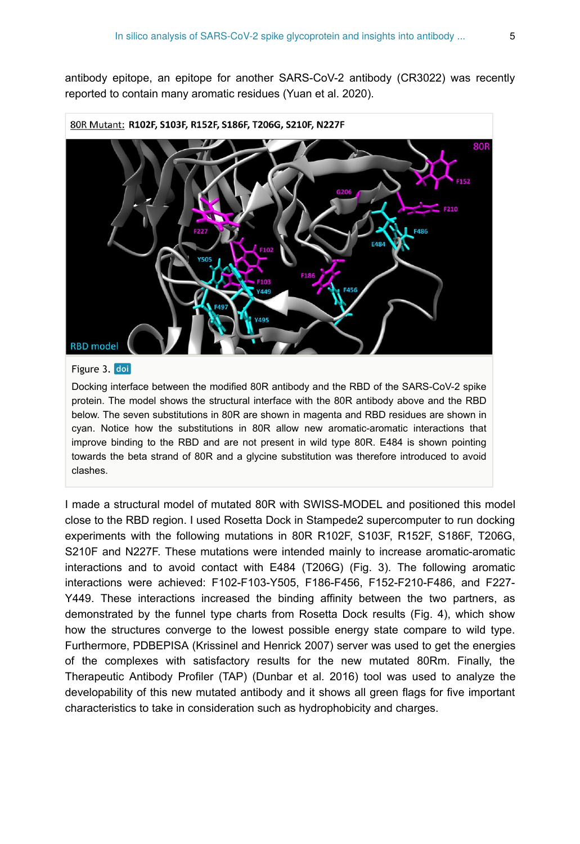antibody epitope, an epitope for another SARS-CoV-2 antibody (CR3022) was recently reported to contain many aromatic residues (Yuan et al. 2020).



#### 80R Mutant: R102F, S103F, R152F, S186F, T206G, S210F, N227F

#### Figure 3. doi

Docking interface between the modified 80R antibody and the RBD of the SARS-CoV-2 spike protein. The model shows the structural interface with the 80R antibody above and the RBD below. The seven substitutions in 80R are shown in magenta and RBD residues are shown in cyan. Notice how the substitutions in 80R allow new aromatic-aromatic interactions that improve binding to the RBD and are not present in wild type 80R. E484 is shown pointing towards the beta strand of 80R and a glycine substitution was therefore introduced to avoid clashes.

I made a structural model of mutated 80R with SWISS-MODEL and positioned this model close to the RBD region. I used Rosetta Dock in Stampede2 supercomputer to run docking experiments with the following mutations in 80R R102F, S103F, R152F, S186F, T206G, S210F and N227F. These mutations were intended mainly to increase aromatic-aromatic interactions and to avoid contact with E484 (T206G) (Fig. 3). The following aromatic interactions were achieved: F102-F103-Y505, F186-F456, F152-F210-F486, and F227- Y449. These interactions increased the binding affinity between the two partners, as demonstrated by the funnel type charts from Rosetta Dock results (Fig. 4), which show how the structures converge to the lowest possible energy state compare to wild type. Furthermore, PDBEPISA (Krissinel and Henrick 2007) server was used to get the energies of the complexes with satisfactory results for the new mutated 80Rm. Finally, the Therapeutic Antibody Profiler (TAP) (Dunbar et al. 2016) tool was used to analyze the developability of this new mutated antibody and it shows all green flags for five important characteristics to take in consideration such as hydrophobicity and charges.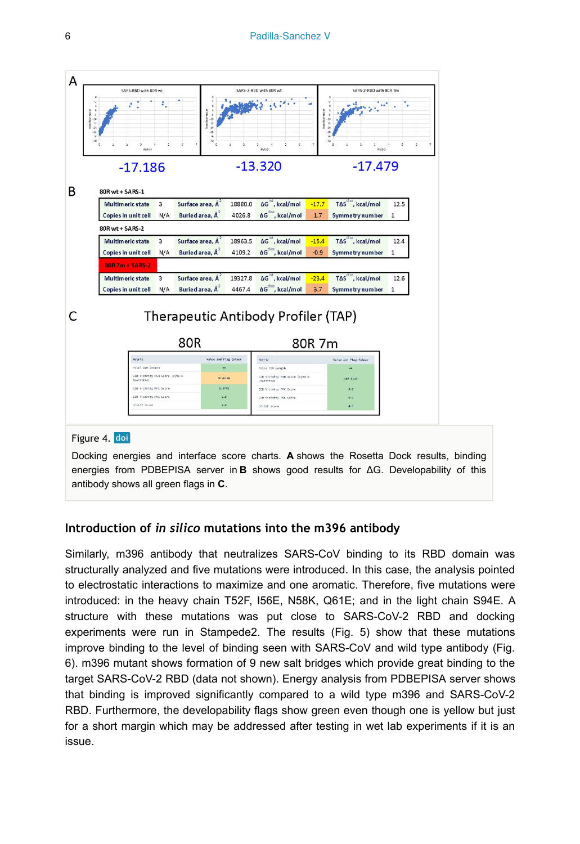

## **Introduction of** *in silico* **mutations into the m396 antibody**

Similarly, m396 antibody that neutralizes SARS-CoV binding to its RBD domain was structurally analyzed and five mutations were introduced. In this case, the analysis pointed to electrostatic interactions to maximize and one aromatic. Therefore, five mutations were introduced: in the heavy chain T52F, I56E, N58K, Q61E; and in the light chain S94E. A structure with these mutations was put close to SARS-CoV-2 RBD and docking experiments were run in Stampede2. The results (Fig. 5) show that these mutations improve binding to the level of binding seen with SARS-CoV and wild type antibody (Fig. 6). m396 mutant shows formation of 9 new salt bridges which provide great binding to the target SARS-CoV-2 RBD (data not shown). Energy analysis from PDBEPISA server shows that binding is improved significantly compared to a wild type m396 and SARS-CoV-2 RBD. Furthermore, the developability flags show green even though one is yellow but just for a short margin which may be addressed after testing in wet lab experiments if it is an issue.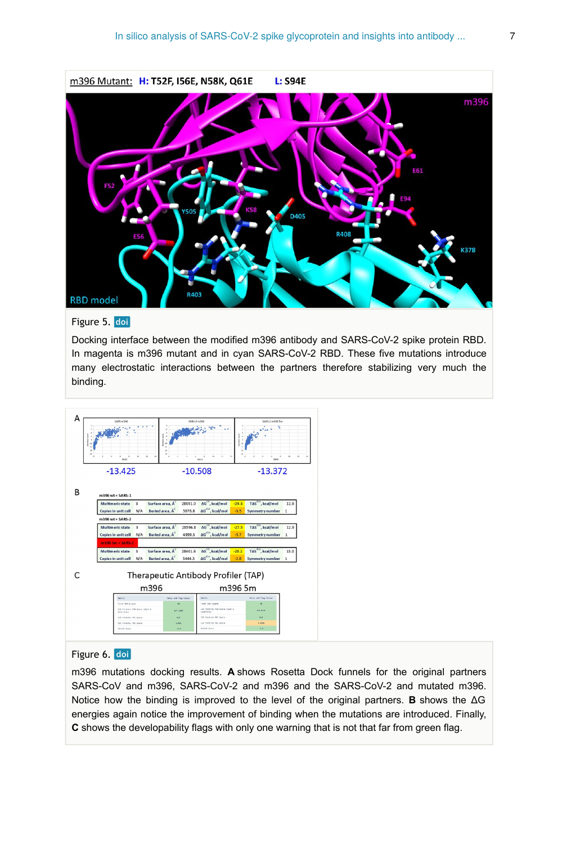

#### Figure 5. doi

Docking interface between the modified m396 antibody and SARS-CoV-2 spike protein RBD. In magenta is m396 mutant and in cyan SARS-CoV-2 RBD. These five mutations introduce many electrostatic interactions between the partners therefore stabilizing very much the binding.



#### Figure 6. doi

m396 mutations docking results. **A** shows Rosetta Dock funnels for the original partners SARS-CoV and m396, SARS-CoV-2 and m396 and the SARS-CoV-2 and mutated m396. Notice how the binding is improved to the level of the original partners. **B** shows the ΔG energies again notice the improvement of binding when the mutations are introduced. Finally, **C** shows the developability flags with only one warning that is not that far from green flag.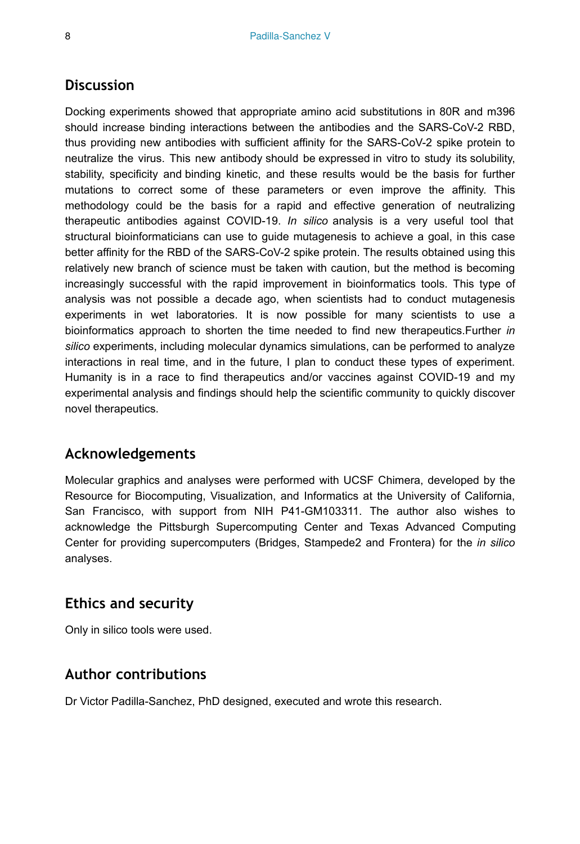## **Discussion**

Docking experiments showed that appropriate amino acid substitutions in 80R and m396 should increase binding interactions between the antibodies and the SARS-CoV-2 RBD, thus providing new antibodies with sufficient affinity for the SARS-CoV-2 spike protein to neutralize the virus. This new antibody should be expressed in vitro to study its solubility, stability, specificity and binding kinetic, and these results would be the basis for further mutations to correct some of these parameters or even improve the affinity. This methodology could be the basis for a rapid and effective generation of neutralizing therapeutic antibodies against COVID-19. *In silico* analysis is a very useful tool that structural bioinformaticians can use to guide mutagenesis to achieve a goal, in this case better affinity for the RBD of the SARS-CoV-2 spike protein. The results obtained using this relatively new branch of science must be taken with caution, but the method is becoming increasingly successful with the rapid improvement in bioinformatics tools. This type of analysis was not possible a decade ago, when scientists had to conduct mutagenesis experiments in wet laboratories. It is now possible for many scientists to use a bioinformatics approach to shorten the time needed to find new therapeutics.Further *in silico* experiments, including molecular dynamics simulations, can be performed to analyze interactions in real time, and in the future, I plan to conduct these types of experiment. Humanity is in a race to find therapeutics and/or vaccines against COVID-19 and my experimental analysis and findings should help the scientific community to quickly discover novel therapeutics.

## **Acknowledgements**

Molecular graphics and analyses were performed with UCSF Chimera, developed by the Resource for Biocomputing, Visualization, and Informatics at the University of California, San Francisco, with support from NIH P41-GM103311. The author also wishes to acknowledge the Pittsburgh Supercomputing Center and Texas Advanced Computing Center for providing supercomputers (Bridges, Stampede2 and Frontera) for the *in silico* analyses.

## **Ethics and security**

Only in silico tools were used.

## **Author contributions**

Dr Victor Padilla-Sanchez, PhD designed, executed and wrote this research.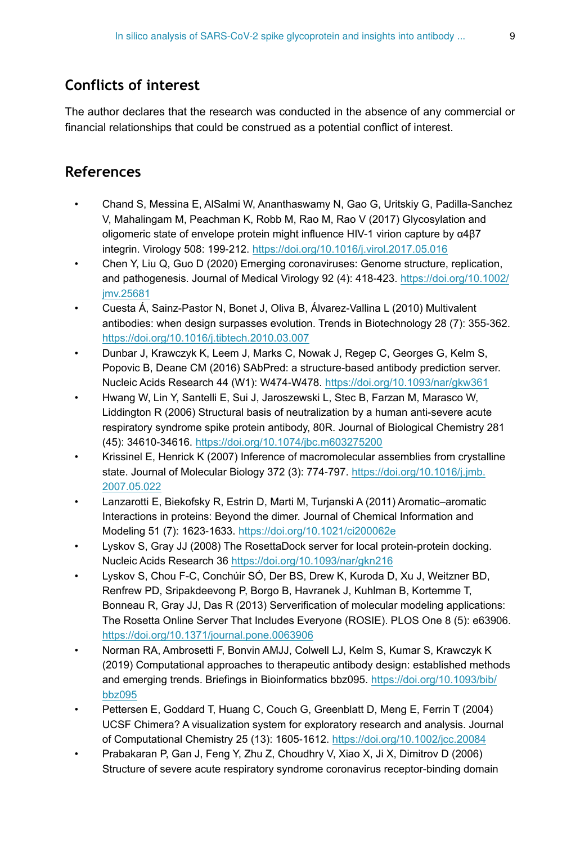# **Conflicts of interest**

The author declares that the research was conducted in the absence of any commercial or financial relationships that could be construed as a potential conflict of interest.

## **References**

- Chand S, Messina E, AlSalmi W, Ananthaswamy N, Gao G, Uritskiy G, Padilla-Sanchez V, Mahalingam M, Peachman K, Robb M, Rao M, Rao V (2017) Glycosylation and oligomeric state of envelope protein might influence HIV-1 virion capture by α4β7 integrin. Virology 508: 199‑212.<https://doi.org/10.1016/j.virol.2017.05.016>
- Chen Y, Liu Q, Guo D (2020) Emerging coronaviruses: Genome structure, replication, and pathogenesis. Journal of Medical Virology 92 (4): 418-423. [https://doi.org/10.1002/](https://doi.org/10.1002/jmv.25681) [jmv.25681](https://doi.org/10.1002/jmv.25681)
- Cuesta Á, Sainz-Pastor N, Bonet J, Oliva B, Álvarez-Vallina L (2010) Multivalent antibodies: when design surpasses evolution. Trends in Biotechnology 28 (7): 355‑362. <https://doi.org/10.1016/j.tibtech.2010.03.007>
- Dunbar J, Krawczyk K, Leem J, Marks C, Nowak J, Regep C, Georges G, Kelm S, Popovic B, Deane CM (2016) SAbPred: a structure-based antibody prediction server. Nucleic Acids Research 44 (W1): W474‑W478. <https://doi.org/10.1093/nar/gkw361>
- Hwang W, Lin Y, Santelli E, Sui J, Jaroszewski L, Stec B, Farzan M, Marasco W, Liddington R (2006) Structural basis of neutralization by a human anti-severe acute respiratory syndrome spike protein antibody, 80R. Journal of Biological Chemistry 281 (45): 34610‑34616. <https://doi.org/10.1074/jbc.m603275200>
- Krissinel E, Henrick K (2007) Inference of macromolecular assemblies from crystalline state. Journal of Molecular Biology 372 (3): 774-797. [https://doi.org/10.1016/j.jmb.](https://doi.org/10.1016/j.jmb.2007.05.022) [2007.05.022](https://doi.org/10.1016/j.jmb.2007.05.022)
- Lanzarotti E, Biekofsky R, Estrin D, Marti M, Turjanski A (2011) Aromatic–aromatic Interactions in proteins: Beyond the dimer. Journal of Chemical Information and Modeling 51 (7): 1623‑1633.<https://doi.org/10.1021/ci200062e>
- Lyskov S, Gray JJ (2008) The RosettaDock server for local protein-protein docking. Nucleic Acids Research 36 <https://doi.org/10.1093/nar/gkn216>
- Lyskov S, Chou F-C, Conchúir SÓ, Der BS, Drew K, Kuroda D, Xu J, Weitzner BD, Renfrew PD, Sripakdeevong P, Borgo B, Havranek J, Kuhlman B, Kortemme T, Bonneau R, Gray JJ, Das R (2013) Serverification of molecular modeling applications: The Rosetta Online Server That Includes Everyone (ROSIE). PLOS One 8 (5): e63906. <https://doi.org/10.1371/journal.pone.0063906>
- Norman RA, Ambrosetti F, Bonvin AMJJ, Colwell LJ, Kelm S, Kumar S, Krawczyk K (2019) Computational approaches to therapeutic antibody design: established methods and emerging trends. Briefings in Bioinformatics bbz095. [https://doi.org/10.1093/bib/](https://doi.org/10.1093/bib/bbz095) [bbz095](https://doi.org/10.1093/bib/bbz095)
- Pettersen E, Goddard T, Huang C, Couch G, Greenblatt D, Meng E, Ferrin T (2004) UCSF Chimera? A visualization system for exploratory research and analysis. Journal of Computational Chemistry 25 (13): 1605‑1612. <https://doi.org/10.1002/jcc.20084>
- Prabakaran P, Gan J, Feng Y, Zhu Z, Choudhry V, Xiao X, Ji X, Dimitrov D (2006) Structure of severe acute respiratory syndrome coronavirus receptor-binding domain